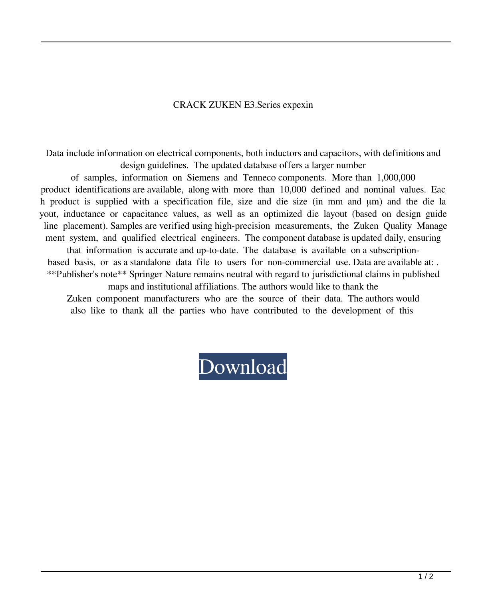## CRACK ZUKEN E3.Series expexin

Data include information on electrical components, both inductors and capacitors, with definitions and design guidelines. The updated database offers a larger number

of samples, information on Siemens and Tenneco components. More than 1,000,000 product identifications are available, along with more than 10,000 defined and nominal values. Eac h product is supplied with a specification file, size and die size (in mm and μm) and the die la yout, inductance or capacitance values, as well as an optimized die layout (based on design guide line placement). Samples are verified using high-precision measurements, the Zuken Quality Manage ment system, and qualified electrical engineers. The component database is updated daily, ensuring

that information is accurate and up-to-date. The database is available on a subscriptionbased basis, or as a standalone data file to users for non-commercial use. Data are available at: . \*\*Publisher's note\*\* Springer Nature remains neutral with regard to jurisdictional claims in published

maps and institutional affiliations. The authors would like to thank the Zuken component manufacturers who are the source of their data. The authors would also like to thank all the parties who have contributed to the development of this

## [Download](http://evacdir.com/capillary.kosi/Q1JBQ0sgWlVLRU4gRTMuU2VyaWVzQ1J/proceedings.dkyd?ZG93bmxvYWR8aHU1TW1kME1YeDhNVFkxTWpRMk16QTFNSHg4TWpVM05IeDhLRTBwSUhKbFlXUXRZbXh2WnlCYlJtRnpkQ0JIUlU1ZA=verandah)